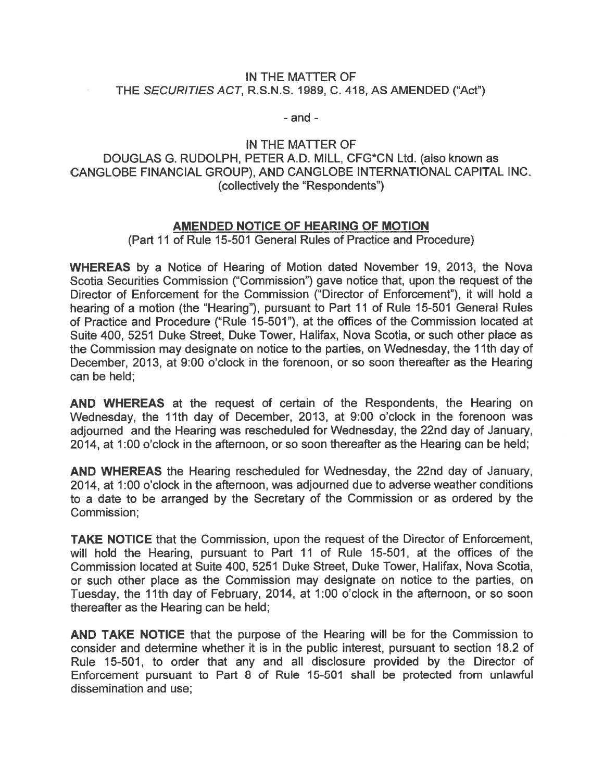## IN THE MATTER OF THE SECURITIES ACT, R.S.N.S. 1989, C. 418, AS AMENDED ("Act")

- and -

## IN THE MATTER OF DOUGLAS G. RUDOLPH, PETER A.D. MILL, CFG\*CN Ltd. (also known as CANGLOBE FINANCIAL GROUP), AND CANGLOBE INTERNATIONAL CAPITAL INC. (collectively the "Respondents")

## AMENDED NOTICE OF HEARING OF MOTION

(Part 11 of Rule 15-501 General Rules of Practice and Procedure)

WHEREAS by <sup>a</sup> Notice of Hearing of Motion dated November 19, 2013, the Nova Scotia Securities Commission ("Commission") gave notice that, upon the reques<sup>t</sup> of the Director of Enforcement for the Commission ("Director of Enforcement"), it will hold <sup>a</sup> hearing of <sup>a</sup> motion (the "Hearing"), pursuan<sup>t</sup> to Part 11 of Rule 15-501 General Rules of Practice and Procedure ("Rule 15-501"), at the offices of the Commission located at Suite 400, 5251 Duke Street, Duke Tower, Halifax, Nova Scotia, or such other place as the Commission may designate on notice to the parties, on Wednesday, the 11th day of December, 2013, at 9:00 <sup>o</sup>'clock in the forenoon, or so soon thereafter as the Hearing can be held;

AND WHEREAS at the reques<sup>t</sup> of certain of the Respondents, the Hearing on Wednesday, the 11th day of December, 2013, at 9:00 <sup>o</sup>'clock in the forenoon was adjourned and the Hearing was rescheduled for Wednesday, the 22nd day of January, 2014, at 1:00 <sup>o</sup>'clock in the afternoon, or so soon thereafter as the Hearing can be held;

AND WHEREAS the Hearing rescheduled for Wednesday, the 22nd day of January, 2014, at 1:00 <sup>o</sup>'clock in the afternoon, was adjourned due to adverse weather conditions to <sup>a</sup> date to be arranged by the Secretary of the Commission or as ordered by the Commission;

TAKE NOTICE that the Commission, upon the reques<sup>t</sup> of the Director of Enforcement, will hold the Hearing, pursuan<sup>t</sup> to Part 11 of Rule 15-501, at the offices of the Commission located at Suite 400, 5251 Duke Street, Duke Tower, Halifax, Nova Scotia, or such other place as the Commission may designate on notice to the parties, on Tuesday, the 11th day of February, 2014, at 1:00 <sup>o</sup>'clock in the afternoon, or so soon thereafter as the Hearing can be held;

AND TAKE NOTICE that the purpose of the Hearing will be for the Commission to consider and determine whether it is in the public interest, pursuan<sup>t</sup> to section 18.2 of Rule 15-501, to order that any and all disclosure provided by the Director of Enforcement pursuan<sup>t</sup> to Part 8 of Rule 15-501 shall be protected from unlawful dissemination and use;